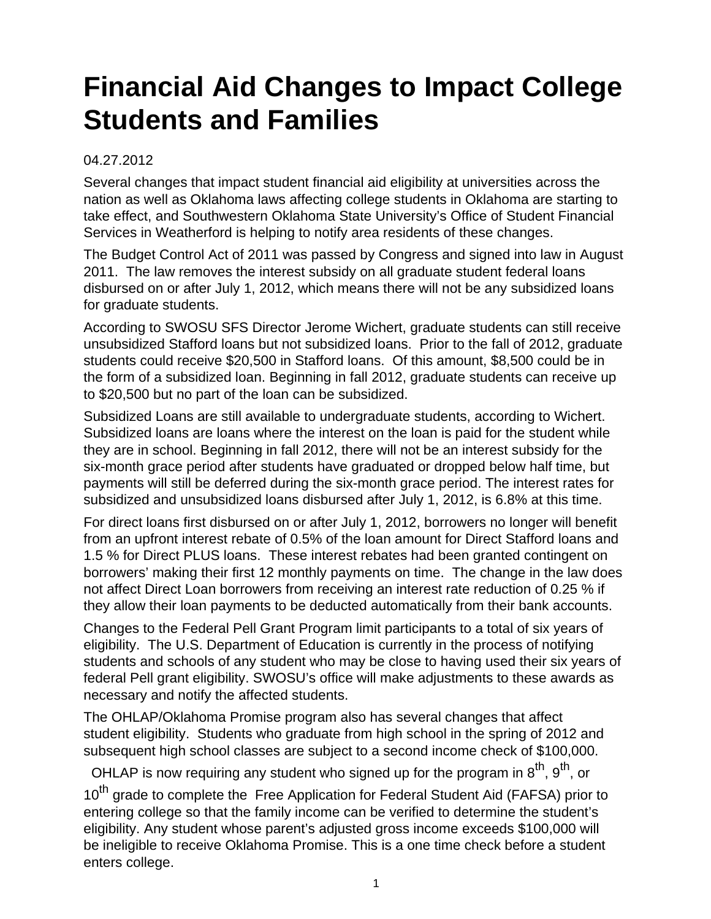## **Financial Aid Changes to Impact College Students and Families**

## 04.27.2012

Several changes that impact student financial aid eligibility at universities across the nation as well as Oklahoma laws affecting college students in Oklahoma are starting to take effect, and Southwestern Oklahoma State University's Office of Student Financial Services in Weatherford is helping to notify area residents of these changes.

The Budget Control Act of 2011 was passed by Congress and signed into law in August 2011. The law removes the interest subsidy on all graduate student federal loans disbursed on or after July 1, 2012, which means there will not be any subsidized loans for graduate students.

According to SWOSU SFS Director Jerome Wichert, graduate students can still receive unsubsidized Stafford loans but not subsidized loans. Prior to the fall of 2012, graduate students could receive \$20,500 in Stafford loans. Of this amount, \$8,500 could be in the form of a subsidized loan. Beginning in fall 2012, graduate students can receive up to \$20,500 but no part of the loan can be subsidized.

Subsidized Loans are still available to undergraduate students, according to Wichert. Subsidized loans are loans where the interest on the loan is paid for the student while they are in school. Beginning in fall 2012, there will not be an interest subsidy for the six-month grace period after students have graduated or dropped below half time, but payments will still be deferred during the six-month grace period. The interest rates for subsidized and unsubsidized loans disbursed after July 1, 2012, is 6.8% at this time.

For direct loans first disbursed on or after July 1, 2012, borrowers no longer will benefit from an upfront interest rebate of 0.5% of the loan amount for Direct Stafford loans and 1.5 % for Direct PLUS loans. These interest rebates had been granted contingent on borrowers' making their first 12 monthly payments on time. The change in the law does not affect Direct Loan borrowers from receiving an interest rate reduction of 0.25 % if they allow their loan payments to be deducted automatically from their bank accounts.

Changes to the Federal Pell Grant Program limit participants to a total of six years of eligibility. The U.S. Department of Education is currently in the process of notifying students and schools of any student who may be close to having used their six years of federal Pell grant eligibility. SWOSU's office will make adjustments to these awards as necessary and notify the affected students.

The OHLAP/Oklahoma Promise program also has several changes that affect student eligibility. Students who graduate from high school in the spring of 2012 and subsequent high school classes are subject to a second income check of \$100,000.

OHLAP is now requiring any student who signed up for the program in  $8^{th}$ ,  $9^{th}$ , or 10<sup>th</sup> grade to complete the Free Application for Federal Student Aid (FAFSA) prior to entering college so that the family income can be verified to determine the student's eligibility. Any student whose parent's adjusted gross income exceeds \$100,000 will be ineligible to receive Oklahoma Promise. This is a one time check before a student enters college.